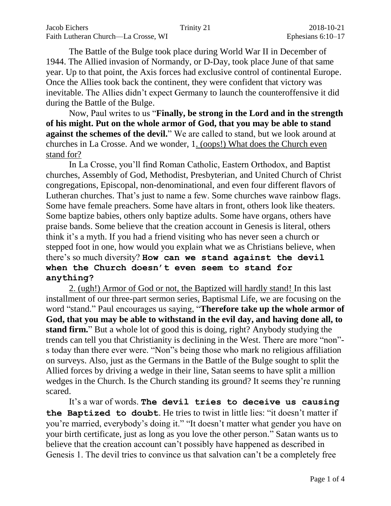The Battle of the Bulge took place during World War II in December of 1944. The Allied invasion of Normandy, or D-Day, took place June of that same year. Up to that point, the Axis forces had exclusive control of continental Europe. Once the Allies took back the continent, they were confident that victory was inevitable. The Allies didn't expect Germany to launch the counteroffensive it did during the Battle of the Bulge.

Now, Paul writes to us "**Finally, be strong in the Lord and in the strength of his might. Put on the whole armor of God, that you may be able to stand against the schemes of the devil.**" We are called to stand, but we look around at churches in La Crosse. And we wonder, 1. (oops!) What does the Church even stand for?

In La Crosse, you'll find Roman Catholic, Eastern Orthodox, and Baptist churches, Assembly of God, Methodist, Presbyterian, and United Church of Christ congregations, Episcopal, non-denominational, and even four different flavors of Lutheran churches. That's just to name a few. Some churches wave rainbow flags. Some have female preachers. Some have altars in front, others look like theaters. Some baptize babies, others only baptize adults. Some have organs, others have praise bands. Some believe that the creation account in Genesis is literal, others think it's a myth. If you had a friend visiting who has never seen a church or stepped foot in one, how would you explain what we as Christians believe, when there's so much diversity? **How can we stand against the devil when the Church doesn't even seem to stand for anything?**

2. (ugh!) Armor of God or not, the Baptized will hardly stand! In this last installment of our three-part sermon series, Baptismal Life, we are focusing on the word "stand." Paul encourages us saying, "**Therefore take up the whole armor of God, that you may be able to withstand in the evil day, and having done all, to stand firm.**" But a whole lot of good this is doing, right? Anybody studying the trends can tell you that Christianity is declining in the West. There are more "non" s today than there ever were. "Non"s being those who mark no religious affiliation on surveys. Also, just as the Germans in the Battle of the Bulge sought to split the Allied forces by driving a wedge in their line, Satan seems to have split a million wedges in the Church. Is the Church standing its ground? It seems they're running scared.

It's a war of words. **The devil tries to deceive us causing the Baptized to doubt**. He tries to twist in little lies: "it doesn't matter if you're married, everybody's doing it." "It doesn't matter what gender you have on your birth certificate, just as long as you love the other person." Satan wants us to believe that the creation account can't possibly have happened as described in Genesis 1. The devil tries to convince us that salvation can't be a completely free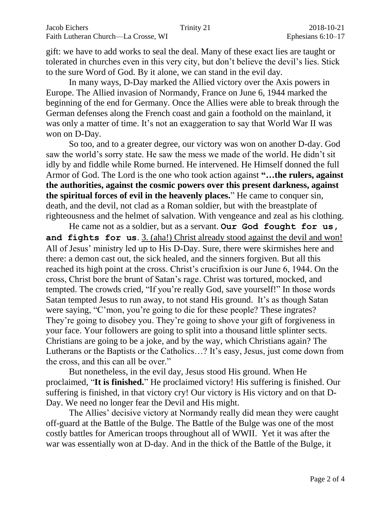gift: we have to add works to seal the deal. Many of these exact lies are taught or tolerated in churches even in this very city, but don't believe the devil's lies. Stick to the sure Word of God. By it alone, we can stand in the evil day.

In many ways, D-Day marked the Allied victory over the Axis powers in Europe. The Allied invasion of Normandy, France on June 6, 1944 marked the beginning of the end for Germany. Once the Allies were able to break through the German defenses along the French coast and gain a foothold on the mainland, it was only a matter of time. It's not an exaggeration to say that World War II was won on D-Day.

So too, and to a greater degree, our victory was won on another D-day. God saw the world's sorry state. He saw the mess we made of the world. He didn't sit idly by and fiddle while Rome burned. He intervened. He Himself donned the full Armor of God. The Lord is the one who took action against **"…the rulers, against the authorities, against the cosmic powers over this present darkness, against the spiritual forces of evil in the heavenly places.**" He came to conquer sin, death, and the devil, not clad as a Roman soldier, but with the breastplate of righteousness and the helmet of salvation. With vengeance and zeal as his clothing.

He came not as a soldier, but as a servant. **Our God fought for us, and fights for us**. 3. (aha!) Christ already stood against the devil and won! All of Jesus' ministry led up to His D-Day. Sure, there were skirmishes here and there: a demon cast out, the sick healed, and the sinners forgiven. But all this reached its high point at the cross. Christ's crucifixion is our June 6, 1944. On the cross, Christ bore the brunt of Satan's rage. Christ was tortured, mocked, and tempted. The crowds cried, "If you're really God, save yourself!" In those words Satan tempted Jesus to run away, to not stand His ground. It's as though Satan were saying, "C'mon, you're going to die for these people? These ingrates? They're going to disobey you. They're going to shove your gift of forgiveness in your face. Your followers are going to split into a thousand little splinter sects. Christians are going to be a joke, and by the way, which Christians again? The Lutherans or the Baptists or the Catholics…? It's easy, Jesus, just come down from the cross, and this can all be over."

But nonetheless, in the evil day, Jesus stood His ground. When He proclaimed, "**It is finished.**" He proclaimed victory! His suffering is finished. Our suffering is finished, in that victory cry! Our victory is His victory and on that D-Day. We need no longer fear the Devil and His might.

The Allies' decisive victory at Normandy really did mean they were caught off-guard at the Battle of the Bulge. The Battle of the Bulge was one of the most costly battles for American troops throughout all of WWII. Yet it was after the war was essentially won at D-day. And in the thick of the Battle of the Bulge, it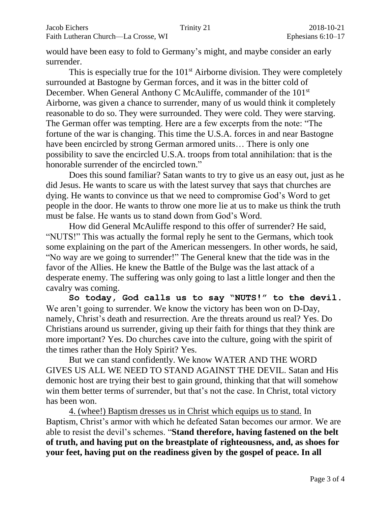would have been easy to fold to Germany's might, and maybe consider an early surrender.

This is especially true for the  $101<sup>st</sup>$  Airborne division. They were completely surrounded at Bastogne by German forces, and it was in the bitter cold of December. When General Anthony C McAuliffe, commander of the 101<sup>st</sup> Airborne, was given a chance to surrender, many of us would think it completely reasonable to do so. They were surrounded. They were cold. They were starving. The German offer was tempting. Here are a few excerpts from the note: "The fortune of the war is changing. This time the U.S.A. forces in and near Bastogne have been encircled by strong German armored units... There is only one possibility to save the encircled U.S.A. troops from total annihilation: that is the honorable surrender of the encircled town."

Does this sound familiar? Satan wants to try to give us an easy out, just as he did Jesus. He wants to scare us with the latest survey that says that churches are dying. He wants to convince us that we need to compromise God's Word to get people in the door. He wants to throw one more lie at us to make us think the truth must be false. He wants us to stand down from God's Word.

How did General McAuliffe respond to this offer of surrender? He said, "NUTS!" This was actually the formal reply he sent to the Germans, which took some explaining on the part of the American messengers. In other words, he said, "No way are we going to surrender!" The General knew that the tide was in the favor of the Allies. He knew the Battle of the Bulge was the last attack of a desperate enemy. The suffering was only going to last a little longer and then the cavalry was coming.

**So today, God calls us to say "NUTS!" to the devil.** We aren't going to surrender. We know the victory has been won on D-Day, namely, Christ's death and resurrection. Are the threats around us real? Yes. Do Christians around us surrender, giving up their faith for things that they think are more important? Yes. Do churches cave into the culture, going with the spirit of the times rather than the Holy Spirit? Yes.

But we can stand confidently. We know WATER AND THE WORD GIVES US ALL WE NEED TO STAND AGAINST THE DEVIL. Satan and His demonic host are trying their best to gain ground, thinking that that will somehow win them better terms of surrender, but that's not the case. In Christ, total victory has been won.

4. (whee!) Baptism dresses us in Christ which equips us to stand. In Baptism, Christ's armor with which he defeated Satan becomes our armor. We are able to resist the devil's schemes. "**Stand therefore, having fastened on the belt of truth, and having put on the breastplate of righteousness, and, as shoes for your feet, having put on the readiness given by the gospel of peace. In all**